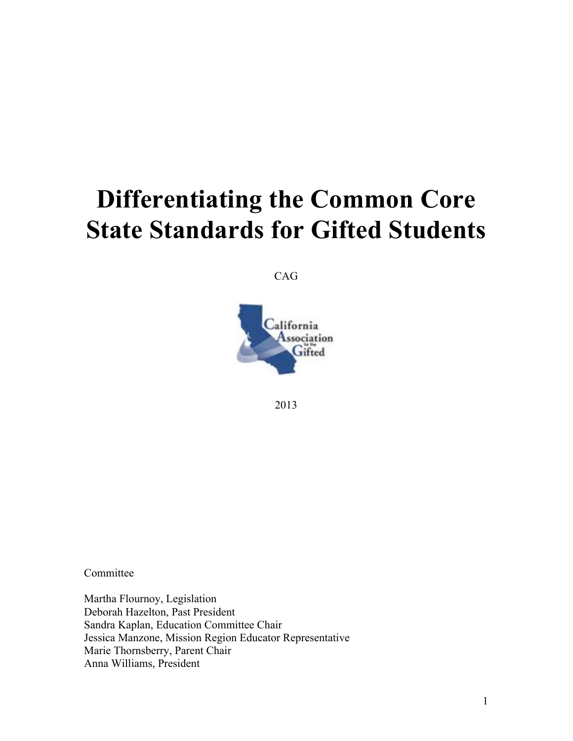# **Differentiating the Common Core State Standards for Gifted Students**

CAG



2013

Committee

Martha Flournoy, Legislation Deborah Hazelton, Past President Sandra Kaplan, Education Committee Chair Jessica Manzone, Mission Region Educator Representative Marie Thornsberry, Parent Chair Anna Williams, President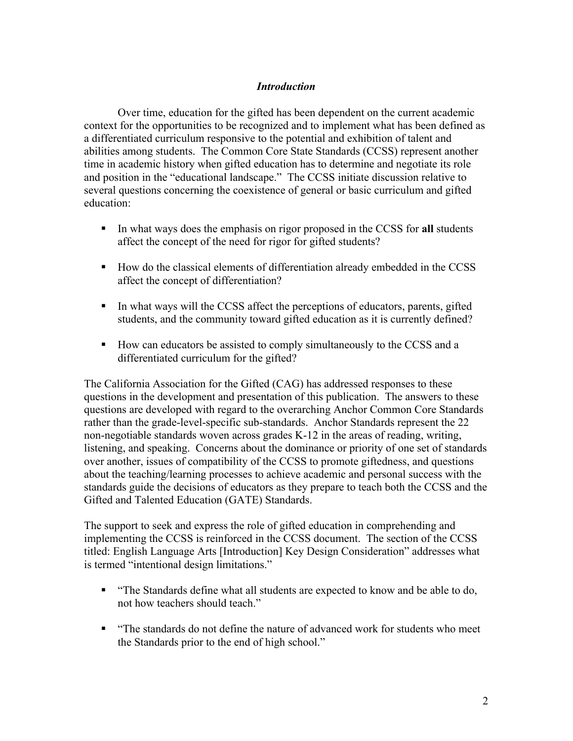#### *Introduction*

Over time, education for the gifted has been dependent on the current academic context for the opportunities to be recognized and to implement what has been defined as a differentiated curriculum responsive to the potential and exhibition of talent and abilities among students. The Common Core State Standards (CCSS) represent another time in academic history when gifted education has to determine and negotiate its role and position in the "educational landscape." The CCSS initiate discussion relative to several questions concerning the coexistence of general or basic curriculum and gifted education:

- ! In what ways does the emphasis on rigor proposed in the CCSS for **all** students affect the concept of the need for rigor for gifted students?
- ! How do the classical elements of differentiation already embedded in the CCSS affect the concept of differentiation?
- ! In what ways will the CCSS affect the perceptions of educators, parents, gifted students, and the community toward gifted education as it is currently defined?
- ! How can educators be assisted to comply simultaneously to the CCSS and a differentiated curriculum for the gifted?

The California Association for the Gifted (CAG) has addressed responses to these questions in the development and presentation of this publication. The answers to these questions are developed with regard to the overarching Anchor Common Core Standards rather than the grade-level-specific sub-standards. Anchor Standards represent the 22 non-negotiable standards woven across grades K-12 in the areas of reading, writing, listening, and speaking. Concerns about the dominance or priority of one set of standards over another, issues of compatibility of the CCSS to promote giftedness, and questions about the teaching/learning processes to achieve academic and personal success with the standards guide the decisions of educators as they prepare to teach both the CCSS and the Gifted and Talented Education (GATE) Standards.

The support to seek and express the role of gifted education in comprehending and implementing the CCSS is reinforced in the CCSS document. The section of the CCSS titled: English Language Arts [Introduction] Key Design Consideration" addresses what is termed "intentional design limitations."

- ! "The Standards define what all students are expected to know and be able to do, not how teachers should teach."
- ! "The standards do not define the nature of advanced work for students who meet the Standards prior to the end of high school."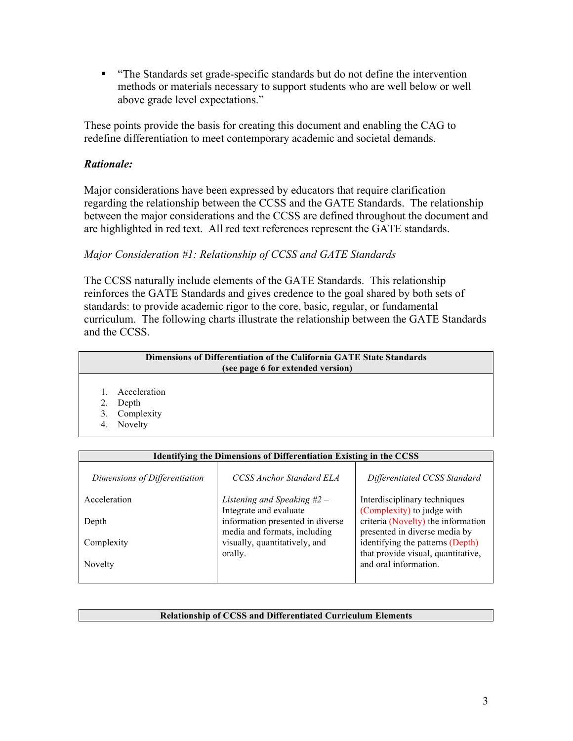! "The Standards set grade-specific standards but do not define the intervention methods or materials necessary to support students who are well below or well above grade level expectations."

These points provide the basis for creating this document and enabling the CAG to redefine differentiation to meet contemporary academic and societal demands.

### *Rationale:*

Major considerations have been expressed by educators that require clarification regarding the relationship between the CCSS and the GATE Standards. The relationship between the major considerations and the CCSS are defined throughout the document and are highlighted in red text. All red text references represent the GATE standards.

## *Major Consideration #1: Relationship of CCSS and GATE Standards*

The CCSS naturally include elements of the GATE Standards. This relationship reinforces the GATE Standards and gives credence to the goal shared by both sets of standards: to provide academic rigor to the core, basic, regular, or fundamental curriculum. The following charts illustrate the relationship between the GATE Standards and the CCSS.

| Dimensions of Differentiation of the California GATE State Standards<br>(see page 6 for extended version) |              |  |
|-----------------------------------------------------------------------------------------------------------|--------------|--|
|                                                                                                           | Acceleration |  |
|                                                                                                           | Depth        |  |
| 3.                                                                                                        | Complexity   |  |
| 4.                                                                                                        | Novelty      |  |

| Identifying the Dimensions of Differentiation Existing in the CCSS |                                  |                                                             |  |  |
|--------------------------------------------------------------------|----------------------------------|-------------------------------------------------------------|--|--|
| Dimensions of Differentiation                                      | CCSS Anchor Standard ELA         | Differentiated CCSS Standard                                |  |  |
| Acceleration                                                       | Listening and Speaking $#2 -$    | Interdisciplinary techniques                                |  |  |
|                                                                    | Integrate and evaluate           | (Complexity) to judge with                                  |  |  |
| Depth                                                              | information presented in diverse | criteria (Novelty) the information                          |  |  |
|                                                                    | media and formats, including     | presented in diverse media by                               |  |  |
| Complexity                                                         | visually, quantitatively, and    | identifying the patterns (Depth)                            |  |  |
| Novelty                                                            | orally.                          | that provide visual, quantitative,<br>and oral information. |  |  |
|                                                                    |                                  |                                                             |  |  |
|                                                                    |                                  |                                                             |  |  |

#### **Relationship of CCSS and Differentiated Curriculum Elements**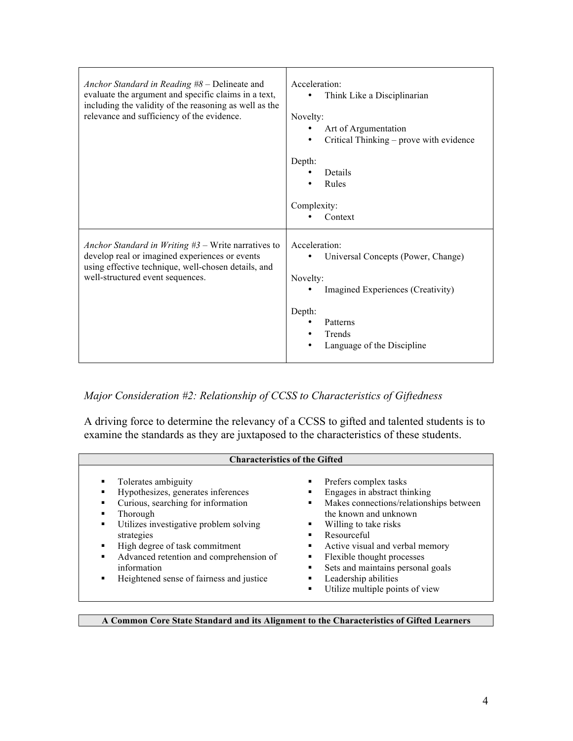| Anchor Standard in Reading $#8$ – Delineate and<br>evaluate the argument and specific claims in a text,<br>including the validity of the reasoning as well as the<br>relevance and sufficiency of the evidence. | Acceleration:<br>Think Like a Disciplinarian<br>Novelty:<br>Art of Argumentation<br>Critical Thinking - prove with evidence<br>Depth:<br>Details<br>Rules<br>Complexity:<br>Context |  |
|-----------------------------------------------------------------------------------------------------------------------------------------------------------------------------------------------------------------|-------------------------------------------------------------------------------------------------------------------------------------------------------------------------------------|--|
| Anchor Standard in Writing $#3$ – Write narratives to<br>develop real or imagined experiences or events<br>using effective technique, well-chosen details, and<br>well-structured event sequences.              | Acceleration:<br>Universal Concepts (Power, Change)<br>Novelty:<br>Imagined Experiences (Creativity)<br>Depth:<br>Patterns<br>Trends<br>Language of the Discipline<br>$\bullet$     |  |

*Major Consideration #2: Relationship of CCSS to Characteristics of Giftedness*

A driving force to determine the relevancy of a CCSS to gifted and talented students is to examine the standards as they are juxtaposed to the characteristics of these students.

|                                                                                                                                                                                                                                                                                                                                                                    | <b>Characteristics of the Gifted</b>                                                                                                                                                                                                                                                                                               |  |  |  |  |
|--------------------------------------------------------------------------------------------------------------------------------------------------------------------------------------------------------------------------------------------------------------------------------------------------------------------------------------------------------------------|------------------------------------------------------------------------------------------------------------------------------------------------------------------------------------------------------------------------------------------------------------------------------------------------------------------------------------|--|--|--|--|
| Tolerates ambiguity<br>٠<br>Hypothesizes, generates inferences<br>Curious, searching for information<br>٠<br>٠<br>Thorough<br>Utilizes investigative problem solving<br>٠<br>٠<br>strategies<br>High degree of task commitment<br>٠<br>٠<br>Advanced retention and comprehension of<br>٠<br>information<br>٠<br>Heightened sense of fairness and justice<br>٠<br>٠ | Prefers complex tasks<br>Engages in abstract thinking<br>Makes connections/relationships between<br>the known and unknown<br>Willing to take risks<br>Resourceful<br>Active visual and verbal memory<br>Flexible thought processes<br>Sets and maintains personal goals<br>Leadership abilities<br>Utilize multiple points of view |  |  |  |  |

**A Common Core State Standard and its Alignment to the Characteristics of Gifted Learners**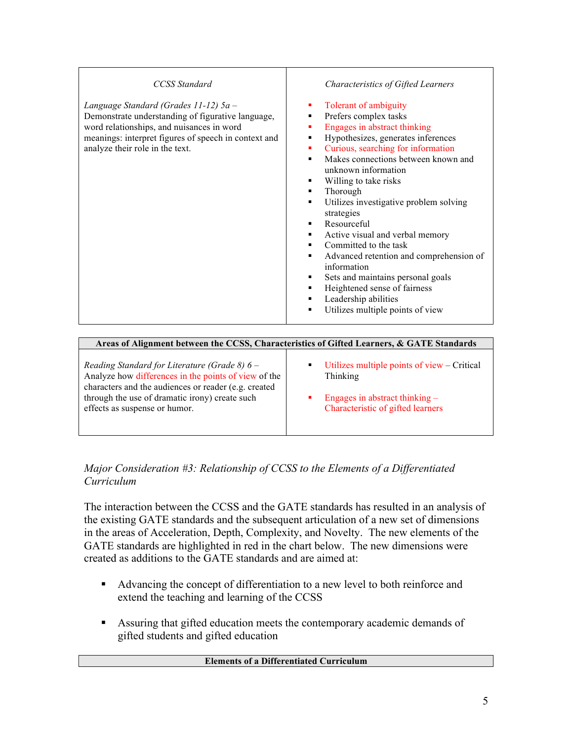| <b>CCSS</b> Standard<br>Language Standard (Grades 11-12) 5a -<br>Demonstrate understanding of figurative language,<br>word relationships, and nuisances in word<br>meanings: interpret figures of speech in context and<br>analyze their role in the text. | <b>Characteristics of Gifted Learners</b><br>Tolerant of ambiguity<br>ш<br>Prefers complex tasks<br>٠<br>Engages in abstract thinking<br>٠<br>Hypothesizes, generates inferences<br>٠<br>Curious, searching for information<br>٠<br>Makes connections between known and<br>unknown information<br>Willing to take risks<br>Thorough<br>٠<br>Utilizes investigative problem solving<br>strategies |
|------------------------------------------------------------------------------------------------------------------------------------------------------------------------------------------------------------------------------------------------------------|--------------------------------------------------------------------------------------------------------------------------------------------------------------------------------------------------------------------------------------------------------------------------------------------------------------------------------------------------------------------------------------------------|
|                                                                                                                                                                                                                                                            | Resourceful<br>Active visual and verbal memory                                                                                                                                                                                                                                                                                                                                                   |
|                                                                                                                                                                                                                                                            | Committed to the task<br>Advanced retention and comprehension of<br>٠                                                                                                                                                                                                                                                                                                                            |
|                                                                                                                                                                                                                                                            | information<br>Sets and maintains personal goals<br>Heightened sense of fairness<br>٠                                                                                                                                                                                                                                                                                                            |
|                                                                                                                                                                                                                                                            | Leadership abilities<br>٠<br>Utilizes multiple points of view<br>٠                                                                                                                                                                                                                                                                                                                               |
|                                                                                                                                                                                                                                                            |                                                                                                                                                                                                                                                                                                                                                                                                  |

| Areas of Alignment between the CCSS, Characteristics of Gifted Learners, & GATE Standards |                                             |  |  |
|-------------------------------------------------------------------------------------------|---------------------------------------------|--|--|
| Reading Standard for Literature (Grade 8) $6 -$                                           | Utilizes multiple points of view – Critical |  |  |
| Analyze how differences in the points of view of the                                      | ٠                                           |  |  |
| characters and the audiences or reader (e.g. created                                      | Thinking                                    |  |  |
| through the use of dramatic irony) create such                                            | Engages in abstract thinking $-$            |  |  |
| effects as suspense or humor.                                                             | Characteristic of gifted learners           |  |  |

# *Major Consideration #3: Relationship of CCSS to the Elements of a Differentiated Curriculum*

The interaction between the CCSS and the GATE standards has resulted in an analysis of the existing GATE standards and the subsequent articulation of a new set of dimensions in the areas of Acceleration, Depth, Complexity, and Novelty. The new elements of the GATE standards are highlighted in red in the chart below. The new dimensions were created as additions to the GATE standards and are aimed at:

- ! Advancing the concept of differentiation to a new level to both reinforce and extend the teaching and learning of the CCSS
- ! Assuring that gifted education meets the contemporary academic demands of gifted students and gifted education

#### **Elements of a Differentiated Curriculum**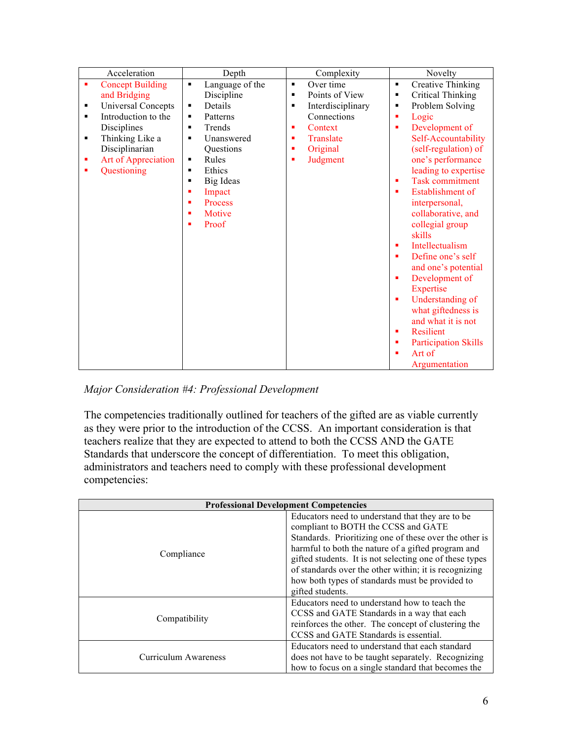| Acceleration                    | Depth                             | Complexity                          | Novelty                          |
|---------------------------------|-----------------------------------|-------------------------------------|----------------------------------|
| <b>Concept Building</b><br>٠    | Language of the<br>$\blacksquare$ | Over time<br>$\blacksquare$         | <b>Creative Thinking</b><br>٠    |
| and Bridging                    | Discipline                        | Points of View<br>п                 | <b>Critical Thinking</b><br>п    |
| <b>Universal Concepts</b><br>п  | Details<br>٠                      | Interdisciplinary<br>$\blacksquare$ | Problem Solving<br>٠             |
| Introduction to the<br>п        | Patterns<br>٠                     | Connections                         | Logic<br>٠                       |
| Disciplines                     | Trends<br>٠                       | Context                             | Development of<br>٠              |
| Thinking Like a<br>п            | Unanswered<br>٠                   | Translate                           | Self-Accountability              |
| Disciplinarian                  | Questions                         | Original                            | (self-regulation) of             |
| <b>Art of Appreciation</b><br>П | Rules<br>٠                        | Judgment                            | one's performance                |
| Questioning<br>Е                | Ethics<br>$\blacksquare$          |                                     | leading to expertise             |
|                                 | Big Ideas<br>$\blacksquare$       |                                     | <b>Task commitment</b><br>٠      |
|                                 | Impact<br>٠                       |                                     | Establishment of<br>٠            |
|                                 | Process<br>٠                      |                                     | interpersonal,                   |
|                                 | Motive<br>٠                       |                                     | collaborative, and               |
|                                 | Proof<br>٠                        |                                     | collegial group                  |
|                                 |                                   |                                     | skills                           |
|                                 |                                   |                                     | <b>Intellectualism</b><br>٠      |
|                                 |                                   |                                     | Define one's self<br>٠           |
|                                 |                                   |                                     | and one's potential              |
|                                 |                                   |                                     | Development of<br>٠              |
|                                 |                                   |                                     | Expertise                        |
|                                 |                                   |                                     | Understanding of<br>×            |
|                                 |                                   |                                     | what giftedness is               |
|                                 |                                   |                                     | and what it is not               |
|                                 |                                   |                                     | <b>Resilient</b><br>٠            |
|                                 |                                   |                                     | <b>Participation Skills</b><br>п |
|                                 |                                   |                                     | Art of                           |
|                                 |                                   |                                     | Argumentation                    |

# *Major Consideration #4: Professional Development*

The competencies traditionally outlined for teachers of the gifted are as viable currently as they were prior to the introduction of the CCSS. An important consideration is that teachers realize that they are expected to attend to both the CCSS AND the GATE Standards that underscore the concept of differentiation. To meet this obligation, administrators and teachers need to comply with these professional development competencies:

| <b>Professional Development Competencies</b> |                                                         |  |
|----------------------------------------------|---------------------------------------------------------|--|
|                                              | Educators need to understand that they are to be        |  |
|                                              | compliant to BOTH the CCSS and GATE                     |  |
|                                              | Standards. Prioritizing one of these over the other is  |  |
|                                              | harmful to both the nature of a gifted program and      |  |
| Compliance                                   | gifted students. It is not selecting one of these types |  |
|                                              | of standards over the other within; it is recognizing   |  |
|                                              | how both types of standards must be provided to         |  |
|                                              | gifted students.                                        |  |
|                                              | Educators need to understand how to teach the           |  |
| Compatibility                                | CCSS and GATE Standards in a way that each              |  |
|                                              | reinforces the other. The concept of clustering the     |  |
|                                              | CCSS and GATE Standards is essential.                   |  |
|                                              | Educators need to understand that each standard         |  |
| Curriculum Awareness                         | does not have to be taught separately. Recognizing      |  |
|                                              | how to focus on a single standard that becomes the      |  |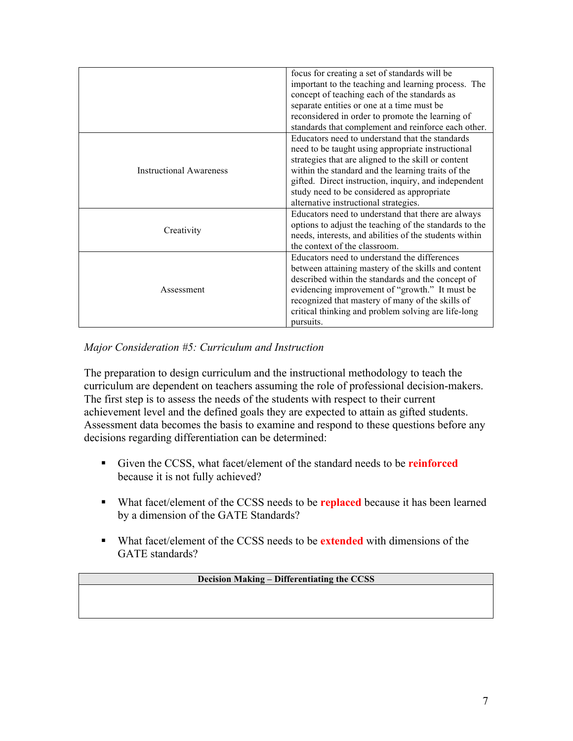|                                | focus for creating a set of standards will be          |
|--------------------------------|--------------------------------------------------------|
|                                | important to the teaching and learning process. The    |
|                                | concept of teaching each of the standards as           |
|                                | separate entities or one at a time must be             |
|                                | reconsidered in order to promote the learning of       |
|                                | standards that complement and reinforce each other.    |
|                                | Educators need to understand that the standards        |
|                                | need to be taught using appropriate instructional      |
|                                | strategies that are aligned to the skill or content    |
| <b>Instructional Awareness</b> | within the standard and the learning traits of the     |
|                                | gifted. Direct instruction, inquiry, and independent   |
|                                | study need to be considered as appropriate             |
|                                | alternative instructional strategies.                  |
|                                | Educators need to understand that there are always     |
|                                | options to adjust the teaching of the standards to the |
| Creativity                     | needs, interests, and abilities of the students within |
|                                | the context of the classroom.                          |
|                                | Educators need to understand the differences           |
|                                | between attaining mastery of the skills and content    |
|                                | described within the standards and the concept of      |
| Assessment                     | evidencing improvement of "growth." It must be         |
|                                | recognized that mastery of many of the skills of       |
|                                | critical thinking and problem solving are life-long    |
|                                | pursuits.                                              |
|                                |                                                        |

*Major Consideration #5: Curriculum and Instruction*

The preparation to design curriculum and the instructional methodology to teach the curriculum are dependent on teachers assuming the role of professional decision-makers. The first step is to assess the needs of the students with respect to their current achievement level and the defined goals they are expected to attain as gifted students. Assessment data becomes the basis to examine and respond to these questions before any decisions regarding differentiation can be determined:

- ! Given the CCSS, what facet/element of the standard needs to be **reinforced** because it is not fully achieved?
- ! What facet/element of the CCSS needs to be **replaced** because it has been learned by a dimension of the GATE Standards?
- ! What facet/element of the CCSS needs to be **extended** with dimensions of the GATE standards?

#### **Decision Making – Differentiating the CCSS**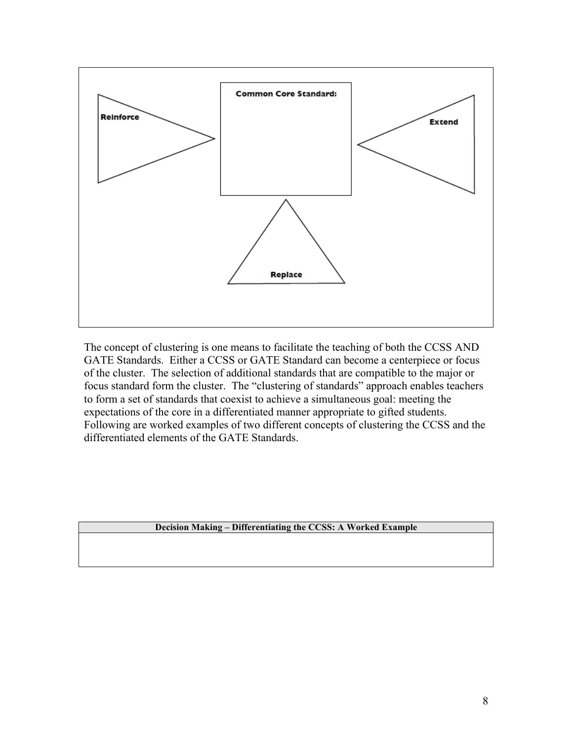

The concept of clustering is one means to facilitate the teaching of both the CCSS AND GATE Standards. Either a CCSS or GATE Standard can become a centerpiece or focus of the cluster. The selection of additional standards that are compatible to the major or focus standard form the cluster. The "clustering of standards" approach enables teachers to form a set of standards that coexist to achieve a simultaneous goal: meeting the expectations of the core in a differentiated manner appropriate to gifted students. Following are worked examples of two different concepts of clustering the CCSS and the differentiated elements of the GATE Standards.

#### **Decision Making – Differentiating the CCSS: A Worked Example**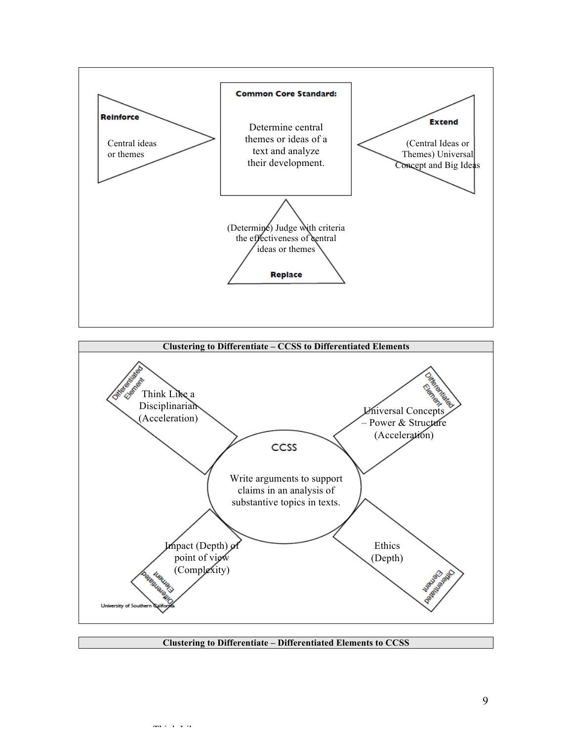



**Clustering to Differentiate – Differentiated Elements to CCSS**

Think Like a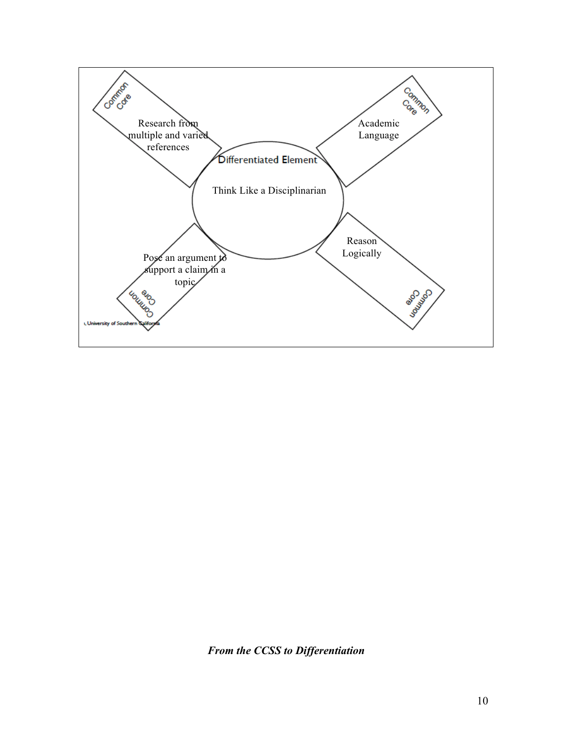

*From the CCSS to Differentiation*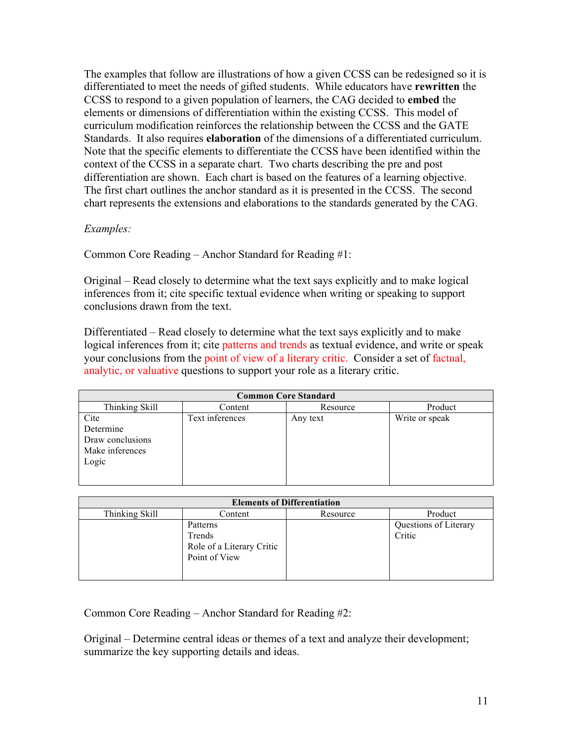The examples that follow are illustrations of how a given CCSS can be redesigned so it is differentiated to meet the needs of gifted students. While educators have **rewritten** the CCSS to respond to a given population of learners, the CAG decided to **embed** the elements or dimensions of differentiation within the existing CCSS. This model of curriculum modification reinforces the relationship between the CCSS and the GATE Standards. It also requires **elaboration** of the dimensions of a differentiated curriculum. Note that the specific elements to differentiate the CCSS have been identified within the context of the CCSS in a separate chart. Two charts describing the pre and post differentiation are shown. Each chart is based on the features of a learning objective. The first chart outlines the anchor standard as it is presented in the CCSS. The second chart represents the extensions and elaborations to the standards generated by the CAG.

#### *Examples:*

Common Core Reading – Anchor Standard for Reading #1:

Original – Read closely to determine what the text says explicitly and to make logical inferences from it; cite specific textual evidence when writing or speaking to support conclusions drawn from the text.

Differentiated – Read closely to determine what the text says explicitly and to make logical inferences from it; cite patterns and trends as textual evidence, and write or speak your conclusions from the point of view of a literary critic. Consider a set of factual, analytic, or valuative questions to support your role as a literary critic.

| <b>Common Core Standard</b> |                 |          |                |  |
|-----------------------------|-----------------|----------|----------------|--|
| Thinking Skill              | Content         | Resource | Product        |  |
| Cite                        | Text inferences | Any text | Write or speak |  |
| Determine                   |                 |          |                |  |
| Draw conclusions            |                 |          |                |  |
| Make inferences             |                 |          |                |  |
| Logic                       |                 |          |                |  |
|                             |                 |          |                |  |
|                             |                 |          |                |  |

| <b>Elements of Differentiation</b> |                                                                  |          |                                 |  |
|------------------------------------|------------------------------------------------------------------|----------|---------------------------------|--|
| Thinking Skill                     | Content                                                          | Resource | Product                         |  |
|                                    | Patterns<br>Trends<br>Role of a Literary Critic<br>Point of View |          | Questions of Literary<br>Critic |  |

Common Core Reading – Anchor Standard for Reading #2:

Original – Determine central ideas or themes of a text and analyze their development; summarize the key supporting details and ideas.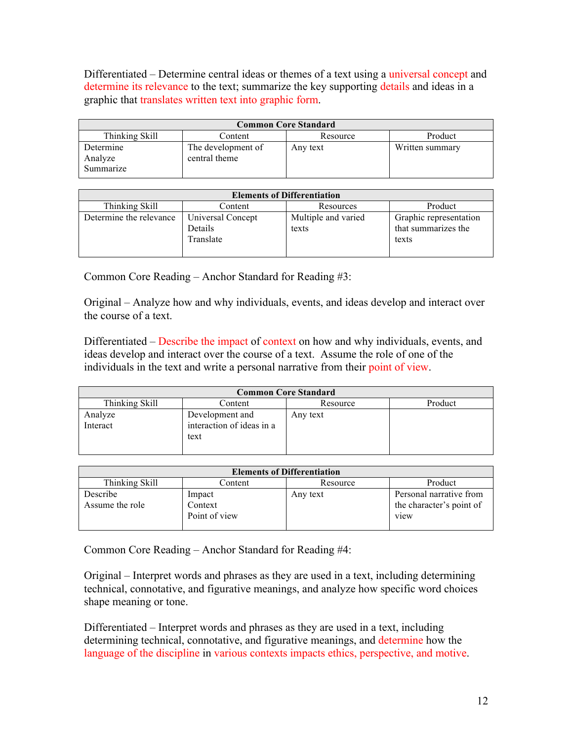Differentiated – Determine central ideas or themes of a text using a universal concept and determine its relevance to the text; summarize the key supporting details and ideas in a graphic that translates written text into graphic form.

| <b>Common Core Standard</b>       |                                     |          |                 |
|-----------------------------------|-------------------------------------|----------|-----------------|
| Thinking Skill                    | Content                             | Resource | Product         |
| Determine<br>Analyze<br>Summarize | The development of<br>central theme | Any text | Written summary |

| <b>Elements of Differentiation</b> |                                           |                              |                                                        |
|------------------------------------|-------------------------------------------|------------------------------|--------------------------------------------------------|
| Thinking Skill                     | Content                                   | Resources                    | Product                                                |
| Determine the relevance            | Universal Concept<br>Details<br>Translate | Multiple and varied<br>texts | Graphic representation<br>that summarizes the<br>texts |

Common Core Reading – Anchor Standard for Reading #3:

Original – Analyze how and why individuals, events, and ideas develop and interact over the course of a text.

Differentiated – Describe the impact of context on how and why individuals, events, and ideas develop and interact over the course of a text. Assume the role of one of the individuals in the text and write a personal narrative from their point of view.

| <b>Common Core Standard</b> |                                              |          |         |
|-----------------------------|----------------------------------------------|----------|---------|
| Thinking Skill              | Content                                      | Resource | Product |
| Analyze<br>Interact         | Development and<br>interaction of ideas in a | Any text |         |
|                             | text                                         |          |         |

| <b>Elements of Differentiation</b> |               |          |                          |
|------------------------------------|---------------|----------|--------------------------|
| Thinking Skill                     | Content       | Resource | Product                  |
| Describe                           | Impact        | Any text | Personal narrative from  |
| Assume the role                    | Context       |          | the character's point of |
|                                    | Point of view |          | view                     |
|                                    |               |          |                          |

Common Core Reading – Anchor Standard for Reading #4:

Original – Interpret words and phrases as they are used in a text, including determining technical, connotative, and figurative meanings, and analyze how specific word choices shape meaning or tone.

Differentiated – Interpret words and phrases as they are used in a text, including determining technical, connotative, and figurative meanings, and determine how the language of the discipline in various contexts impacts ethics, perspective, and motive.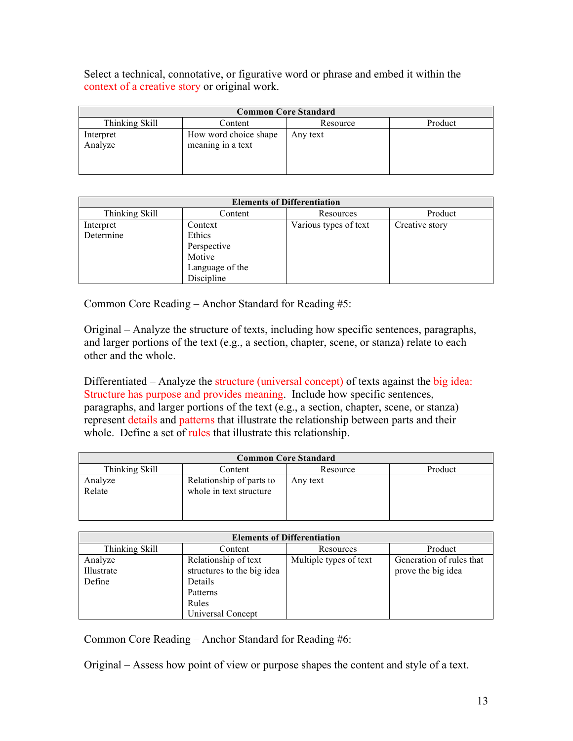Select a technical, connotative, or figurative word or phrase and embed it within the context of a creative story or original work.

| <b>Common Core Standard</b> |                                            |          |         |
|-----------------------------|--------------------------------------------|----------|---------|
| Thinking Skill              | Content                                    | Resource | Product |
| Interpret<br>Analyze        | How word choice shape<br>meaning in a text | Any text |         |

| <b>Elements of Differentiation</b> |                 |                       |                |
|------------------------------------|-----------------|-----------------------|----------------|
| Thinking Skill                     | Content         | Resources             | Product        |
| Interpret                          | Context         | Various types of text | Creative story |
| Determine                          | Ethics          |                       |                |
|                                    | Perspective     |                       |                |
|                                    | Motive          |                       |                |
|                                    | Language of the |                       |                |
|                                    | Discipline      |                       |                |

Common Core Reading – Anchor Standard for Reading #5:

Original – Analyze the structure of texts, including how specific sentences, paragraphs, and larger portions of the text (e.g., a section, chapter, scene, or stanza) relate to each other and the whole.

Differentiated – Analyze the structure (universal concept) of texts against the big idea: Structure has purpose and provides meaning. Include how specific sentences, paragraphs, and larger portions of the text (e.g., a section, chapter, scene, or stanza) represent details and patterns that illustrate the relationship between parts and their whole. Define a set of rules that illustrate this relationship.

| <b>Common Core Standard</b> |                          |          |         |
|-----------------------------|--------------------------|----------|---------|
| Thinking Skill              | Content                  | Resource | Product |
| Analyze                     | Relationship of parts to | Any text |         |
| Relate                      | whole in text structure  |          |         |
|                             |                          |          |         |

| <b>Elements of Differentiation</b> |                            |                        |                          |
|------------------------------------|----------------------------|------------------------|--------------------------|
| Thinking Skill                     | Content                    | Resources              | Product                  |
| Analyze                            | Relationship of text       | Multiple types of text | Generation of rules that |
| Illustrate                         | structures to the big idea |                        | prove the big idea       |
| Define                             | Details                    |                        |                          |
|                                    | Patterns                   |                        |                          |
|                                    | Rules                      |                        |                          |
|                                    | Universal Concept          |                        |                          |

Common Core Reading – Anchor Standard for Reading #6:

Original – Assess how point of view or purpose shapes the content and style of a text.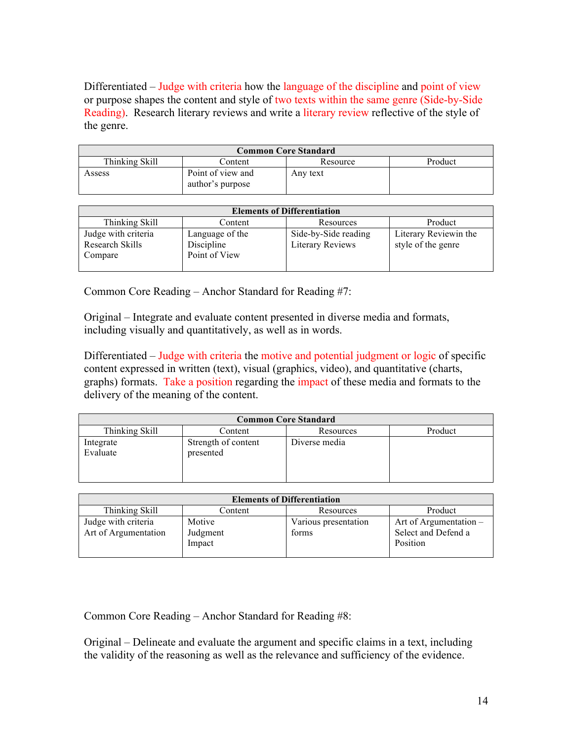Differentiated – Judge with criteria how the language of the discipline and point of view or purpose shapes the content and style of two texts within the same genre (Side-by-Side Reading). Research literary reviews and write a literary review reflective of the style of the genre.

| <b>Common Core Standard</b> |                                       |          |         |
|-----------------------------|---------------------------------------|----------|---------|
| Thinking Skill              | Content                               | Resource | Product |
| Assess                      | Point of view and<br>author's purpose | Any text |         |

| <b>Elements of Differentiation</b>                |                                                |                                                 |                                             |
|---------------------------------------------------|------------------------------------------------|-------------------------------------------------|---------------------------------------------|
| Thinking Skill                                    | Content                                        | Resources                                       | Product                                     |
| Judge with criteria<br>Research Skills<br>Compare | Language of the<br>Discipline<br>Point of View | Side-by-Side reading<br><b>Literary Reviews</b> | Literary Reviewin the<br>style of the genre |

Common Core Reading – Anchor Standard for Reading #7:

Original – Integrate and evaluate content presented in diverse media and formats, including visually and quantitatively, as well as in words.

Differentiated – Judge with criteria the motive and potential judgment or logic of specific content expressed in written (text), visual (graphics, video), and quantitative (charts, graphs) formats. Take a position regarding the impact of these media and formats to the delivery of the meaning of the content.

| <b>Common Core Standard</b> |                                  |               |         |
|-----------------------------|----------------------------------|---------------|---------|
| Thinking Skill              | Content                          | Resources     | Product |
| Integrate<br>Evaluate       | Strength of content<br>presented | Diverse media |         |

| <b>Elements of Differentiation</b>          |                              |                               |                                                             |
|---------------------------------------------|------------------------------|-------------------------------|-------------------------------------------------------------|
| Thinking Skill                              | Content                      | Resources                     | Product                                                     |
| Judge with criteria<br>Art of Argumentation | Motive<br>Judgment<br>Impact | Various presentation<br>forms | Art of Argumentation $-$<br>Select and Defend a<br>Position |

Common Core Reading – Anchor Standard for Reading #8:

Original – Delineate and evaluate the argument and specific claims in a text, including the validity of the reasoning as well as the relevance and sufficiency of the evidence.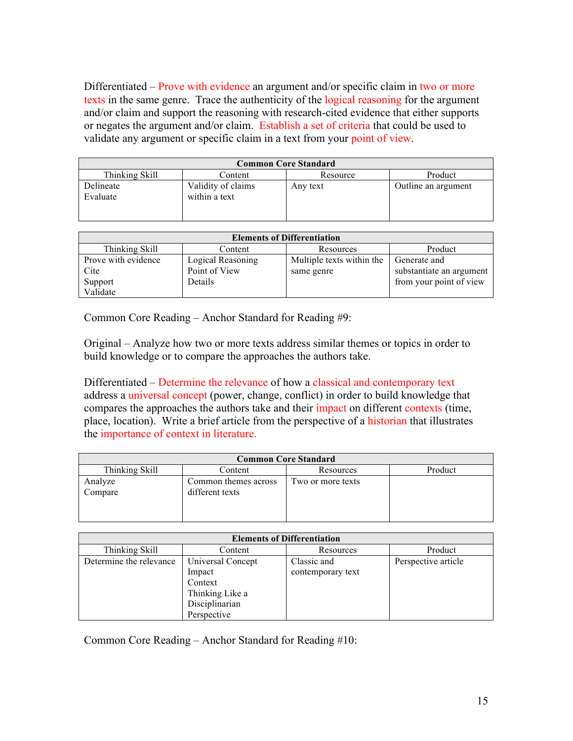Differentiated – Prove with evidence an argument and/or specific claim in two or more texts in the same genre. Trace the authenticity of the logical reasoning for the argument and/or claim and support the reasoning with research-cited evidence that either supports or negates the argument and/or claim. Establish a set of criteria that could be used to validate any argument or specific claim in a text from your point of view.

| <b>Common Core Standard</b> |                                     |          |                     |
|-----------------------------|-------------------------------------|----------|---------------------|
| Thinking Skill              | Content                             | Resource | Product             |
| Delineate<br>Evaluate       | Validity of claims<br>within a text | Any text | Outline an argument |

| <b>Elements of Differentiation</b> |                   |                           |                          |
|------------------------------------|-------------------|---------------------------|--------------------------|
| Thinking Skill                     | Content           | Resources                 | Product                  |
| Prove with evidence                | Logical Reasoning | Multiple texts within the | Generate and             |
| Cite                               | Point of View     | same genre                | substantiate an argument |
| Support                            | Details           |                           | from your point of view  |
| Validate                           |                   |                           |                          |

Common Core Reading – Anchor Standard for Reading #9:

Original – Analyze how two or more texts address similar themes or topics in order to build knowledge or to compare the approaches the authors take.

Differentiated – Determine the relevance of how a classical and contemporary text address a universal concept (power, change, conflict) in order to build knowledge that compares the approaches the authors take and their impact on different contexts (time, place, location). Write a brief article from the perspective of a historian that illustrates the importance of context in literature.

| <b>Common Core Standard</b> |                                         |                   |         |
|-----------------------------|-----------------------------------------|-------------------|---------|
| Thinking Skill              | Content                                 | Resources         | Product |
| Analyze<br>Compare          | Common themes across<br>different texts | Two or more texts |         |
|                             |                                         |                   |         |

| <b>Elements of Differentiation</b> |                   |                   |                     |
|------------------------------------|-------------------|-------------------|---------------------|
| Thinking Skill                     | Content           | Resources         | Product             |
| Determine the relevance            | Universal Concept | Classic and       | Perspective article |
|                                    | Impact            | contemporary text |                     |
|                                    | Context           |                   |                     |
|                                    | Thinking Like a   |                   |                     |
|                                    | Disciplinarian    |                   |                     |
|                                    | Perspective       |                   |                     |

Common Core Reading – Anchor Standard for Reading #10: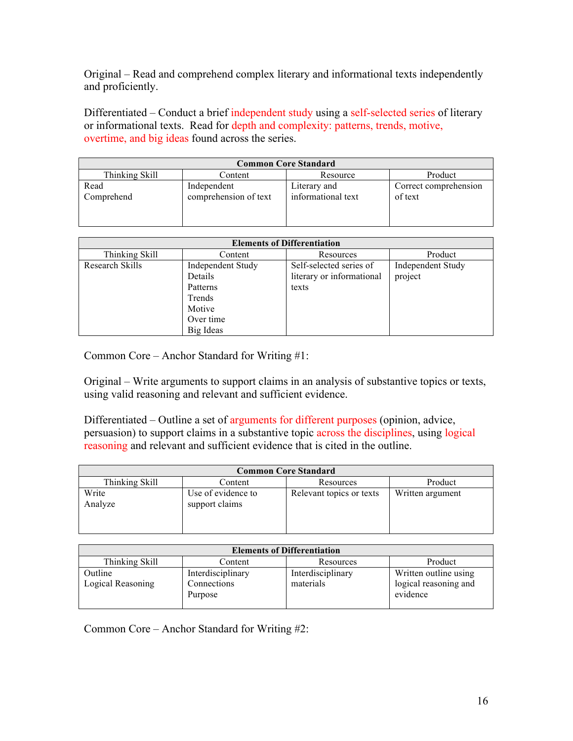Original – Read and comprehend complex literary and informational texts independently and proficiently.

Differentiated – Conduct a brief independent study using a self-selected series of literary or informational texts. Read for depth and complexity: patterns, trends, motive, overtime, and big ideas found across the series.

| <b>Common Core Standard</b> |                                      |                                    |                                  |
|-----------------------------|--------------------------------------|------------------------------------|----------------------------------|
| Thinking Skill              | Content                              | Resource                           | Product                          |
| Read<br>Comprehend          | Independent<br>comprehension of text | Literary and<br>informational text | Correct comprehension<br>of text |

| <b>Elements of Differentiation</b> |                          |                           |                          |
|------------------------------------|--------------------------|---------------------------|--------------------------|
| Thinking Skill                     | Content                  | Resources                 | Product                  |
| Research Skills                    | <b>Independent Study</b> | Self-selected series of   | <b>Independent Study</b> |
|                                    | Details                  | literary or informational | project                  |
|                                    | Patterns                 | texts                     |                          |
|                                    | Trends                   |                           |                          |
|                                    | Motive                   |                           |                          |
|                                    | Over time                |                           |                          |
|                                    | Big Ideas                |                           |                          |

Common Core – Anchor Standard for Writing #1:

Original – Write arguments to support claims in an analysis of substantive topics or texts, using valid reasoning and relevant and sufficient evidence.

Differentiated – Outline a set of arguments for different purposes (opinion, advice, persuasion) to support claims in a substantive topic across the disciplines, using logical reasoning and relevant and sufficient evidence that is cited in the outline.

| <b>Common Core Standard</b> |                                      |                          |                  |
|-----------------------------|--------------------------------------|--------------------------|------------------|
| Thinking Skill              | Content                              | Resources                | Product          |
| Write<br>Analyze            | Use of evidence to<br>support claims | Relevant topics or texts | Written argument |

| <b>Elements of Differentiation</b> |                                             |                                |                                                            |
|------------------------------------|---------------------------------------------|--------------------------------|------------------------------------------------------------|
| Thinking Skill                     | Content                                     | Resources                      | Product                                                    |
| Outline<br>Logical Reasoning       | Interdisciplinary<br>Connections<br>Purpose | Interdisciplinary<br>materials | Written outline using<br>logical reasoning and<br>evidence |

Common Core – Anchor Standard for Writing #2: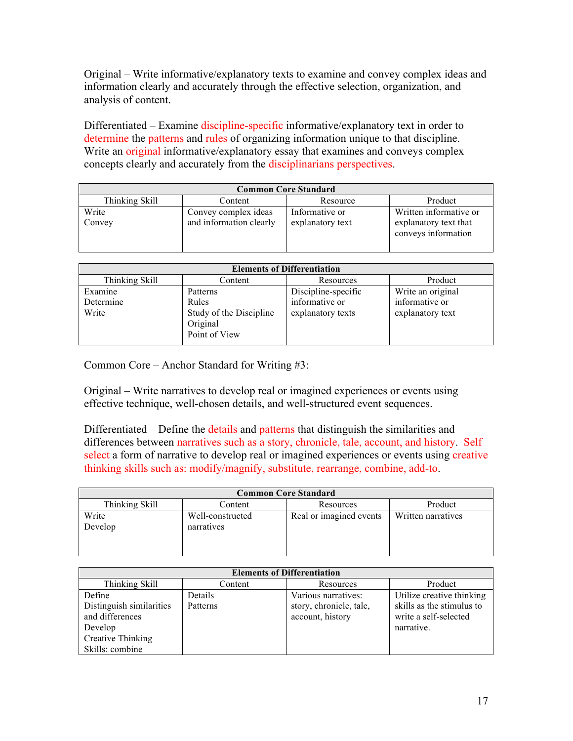Original – Write informative/explanatory texts to examine and convey complex ideas and information clearly and accurately through the effective selection, organization, and analysis of content.

Differentiated – Examine discipline-specific informative/explanatory text in order to determine the patterns and rules of organizing information unique to that discipline. Write an original informative/explanatory essay that examines and conveys complex concepts clearly and accurately from the disciplinarians perspectives.

| <b>Common Core Standard</b> |                         |                  |                        |
|-----------------------------|-------------------------|------------------|------------------------|
| Thinking Skill              | Content                 | Resource         | Product                |
| Write                       | Convey complex ideas    | Informative or   | Written informative or |
| Convey                      | and information clearly | explanatory text | explanatory text that  |
|                             |                         |                  | conveys information    |
|                             |                         |                  |                        |

| <b>Elements of Differentiation</b> |                                                      |                     |                   |
|------------------------------------|------------------------------------------------------|---------------------|-------------------|
| Thinking Skill                     | Content                                              | Resources           | Product           |
| Examine                            | Patterns                                             | Discipline-specific | Write an original |
| Determine                          | Rules                                                | informative or      | informative or    |
| Write                              | Study of the Discipline<br>Original<br>Point of View | explanatory texts   | explanatory text  |

Common Core – Anchor Standard for Writing #3:

Original – Write narratives to develop real or imagined experiences or events using effective technique, well-chosen details, and well-structured event sequences.

Differentiated – Define the details and patterns that distinguish the similarities and differences between narratives such as a story, chronicle, tale, account, and history. Self select a form of narrative to develop real or imagined experiences or events using creative thinking skills such as: modify/magnify, substitute, rearrange, combine, add-to.

| <b>Common Core Standard</b> |                                |                         |                    |
|-----------------------------|--------------------------------|-------------------------|--------------------|
| Thinking Skill              | Content                        | Resources               | Product            |
| Write<br>Develop            | Well-constructed<br>narratives | Real or imagined events | Written narratives |

| <b>Elements of Differentiation</b> |          |                         |                           |
|------------------------------------|----------|-------------------------|---------------------------|
| Thinking Skill                     | Content  | Resources               | Product                   |
| Define                             | Details  | Various narratives:     | Utilize creative thinking |
| Distinguish similarities           | Patterns | story, chronicle, tale, | skills as the stimulus to |
| and differences                    |          | account, history        | write a self-selected     |
| Develop                            |          |                         | narrative.                |
| Creative Thinking                  |          |                         |                           |
| Skills: combine                    |          |                         |                           |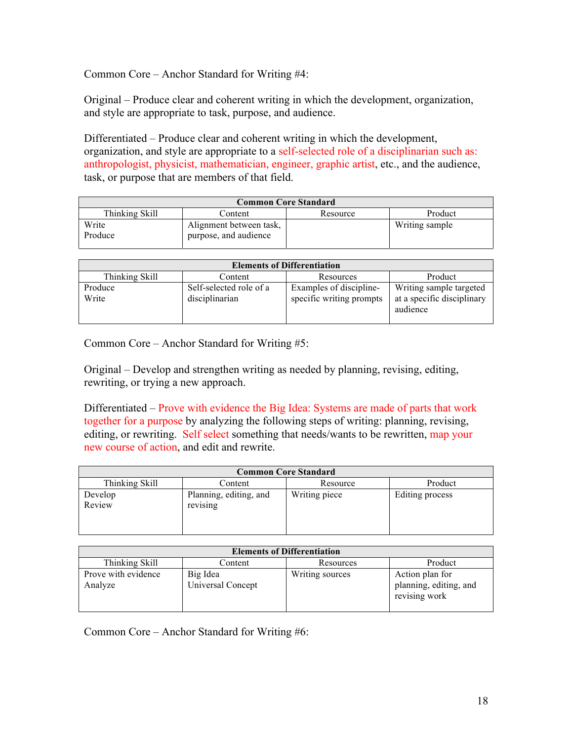Common Core – Anchor Standard for Writing #4:

Original – Produce clear and coherent writing in which the development, organization, and style are appropriate to task, purpose, and audience.

Differentiated – Produce clear and coherent writing in which the development, organization, and style are appropriate to a self-selected role of a disciplinarian such as: anthropologist, physicist, mathematician, engineer, graphic artist, etc., and the audience, task, or purpose that are members of that field.

| <b>Common Core Standard</b> |                         |          |                |  |
|-----------------------------|-------------------------|----------|----------------|--|
| Thinking Skill              | Content                 | Resource | Product        |  |
| Write                       | Alignment between task, |          | Writing sample |  |
| Produce                     | purpose, and audience   |          |                |  |

| <b>Elements of Differentiation</b> |                         |                          |                                        |
|------------------------------------|-------------------------|--------------------------|----------------------------------------|
| Thinking Skill                     | Content                 | Resources                | Product                                |
| Produce                            | Self-selected role of a | Examples of discipline-  | Writing sample targeted                |
| Write                              | disciplinarian          | specific writing prompts | at a specific disciplinary<br>audience |
|                                    |                         |                          |                                        |

Common Core – Anchor Standard for Writing #5:

Original – Develop and strengthen writing as needed by planning, revising, editing, rewriting, or trying a new approach.

Differentiated – Prove with evidence the Big Idea: Systems are made of parts that work together for a purpose by analyzing the following steps of writing: planning, revising, editing, or rewriting. Self select something that needs/wants to be rewritten, map your new course of action, and edit and rewrite.

| <b>Common Core Standard</b> |                                    |               |                 |
|-----------------------------|------------------------------------|---------------|-----------------|
| Thinking Skill              | Content                            | Resource      | Product         |
| Develop<br>Review           | Planning, editing, and<br>revising | Writing piece | Editing process |

| <b>Elements of Differentiation</b> |                               |                 |                                                            |
|------------------------------------|-------------------------------|-----------------|------------------------------------------------------------|
| Thinking Skill                     | Content                       | Resources       | Product                                                    |
| Prove with evidence<br>Analyze     | Big Idea<br>Universal Concept | Writing sources | Action plan for<br>planning, editing, and<br>revising work |

Common Core – Anchor Standard for Writing #6: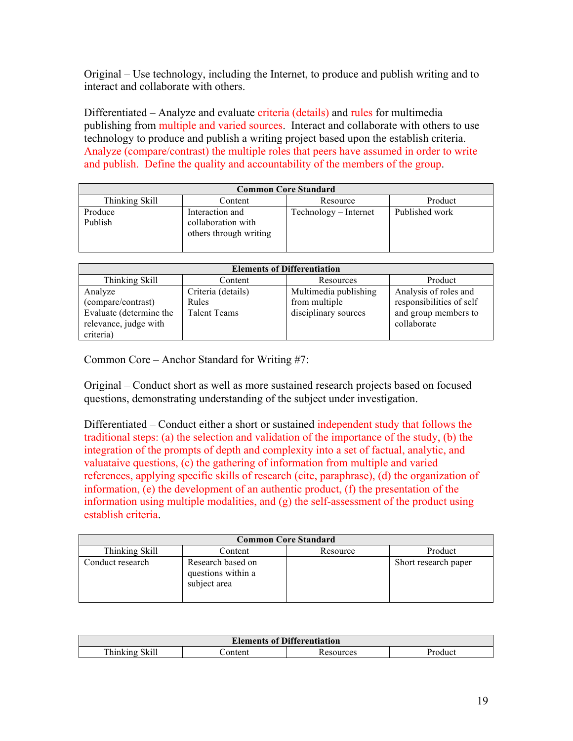Original – Use technology, including the Internet, to produce and publish writing and to interact and collaborate with others.

Differentiated – Analyze and evaluate criteria (details) and rules for multimedia publishing from multiple and varied sources. Interact and collaborate with others to use technology to produce and publish a writing project based upon the establish criteria. Analyze (compare/contrast) the multiple roles that peers have assumed in order to write and publish. Define the quality and accountability of the members of the group.

| <b>Common Core Standard</b> |                                                                 |                       |                |  |
|-----------------------------|-----------------------------------------------------------------|-----------------------|----------------|--|
| Thinking Skill              | Content                                                         | Resource              | Product        |  |
| Produce<br>Publish          | Interaction and<br>collaboration with<br>others through writing | Technology – Internet | Published work |  |

| <b>Elements of Differentiation</b> |                     |                       |                          |
|------------------------------------|---------------------|-----------------------|--------------------------|
| Thinking Skill                     | Content             | Resources             | Product                  |
| Analyze                            | Criteria (details)  | Multimedia publishing | Analysis of roles and    |
| (compare/contrast)                 | Rules               | from multiple         | responsibilities of self |
| Evaluate (determine the            | <b>Talent Teams</b> | disciplinary sources  | and group members to     |
| relevance, judge with              |                     |                       | collaborate              |
| criteria)                          |                     |                       |                          |

Common Core – Anchor Standard for Writing #7:

Original – Conduct short as well as more sustained research projects based on focused questions, demonstrating understanding of the subject under investigation.

Differentiated – Conduct either a short or sustained independent study that follows the traditional steps: (a) the selection and validation of the importance of the study, (b) the integration of the prompts of depth and complexity into a set of factual, analytic, and valuataive questions, (c) the gathering of information from multiple and varied references, applying specific skills of research (cite, paraphrase), (d) the organization of information, (e) the development of an authentic product, (f) the presentation of the information using multiple modalities, and (g) the self-assessment of the product using establish criteria.

| <b>Common Core Standard</b> |                                                         |          |                      |
|-----------------------------|---------------------------------------------------------|----------|----------------------|
| Thinking Skill              | Content                                                 | Resource | Product              |
| Conduct research            | Research based on<br>questions within a<br>subject area |          | Short research paper |

| <b>Elements of Differentiation</b>           |                                |  |  |  |  |
|----------------------------------------------|--------------------------------|--|--|--|--|
| $\cdot$ 11<br>$-1$<br>mı<br>SK1ll<br>hinking | ontent<br>Product<br>Resources |  |  |  |  |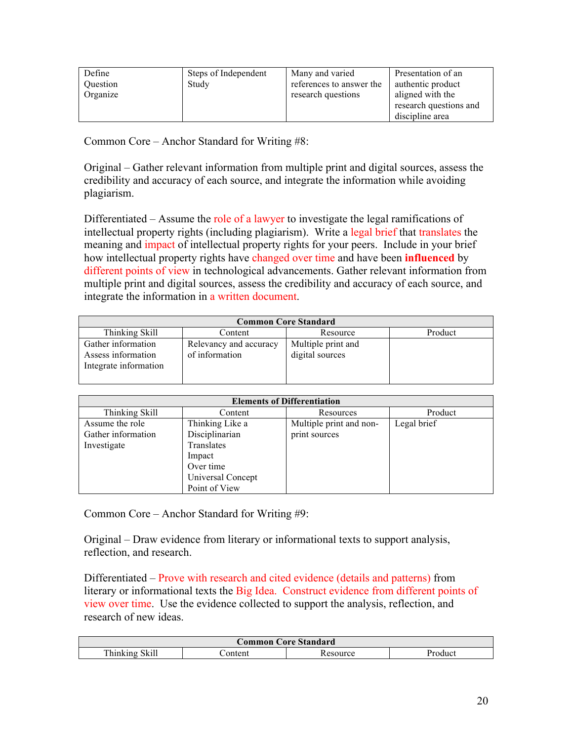| Define          | Steps of Independent | Many and varied          | Presentation of an     |
|-----------------|----------------------|--------------------------|------------------------|
| <b>Ouestion</b> | Study                | references to answer the | authentic product      |
| Organize        |                      | research questions       | aligned with the       |
|                 |                      |                          | research questions and |
|                 |                      |                          | discipline area        |

Common Core – Anchor Standard for Writing #8:

Original – Gather relevant information from multiple print and digital sources, assess the credibility and accuracy of each source, and integrate the information while avoiding plagiarism.

Differentiated – Assume the role of a lawyer to investigate the legal ramifications of intellectual property rights (including plagiarism). Write a legal brief that translates the meaning and *impact* of intellectual property rights for your peers. Include in your brief how intellectual property rights have changed over time and have been **influenced** by different points of view in technological advancements. Gather relevant information from multiple print and digital sources, assess the credibility and accuracy of each source, and integrate the information in a written document.

| <b>Common Core Standard</b> |                        |                    |         |
|-----------------------------|------------------------|--------------------|---------|
| Thinking Skill              | Content                | Resource           | Product |
| Gather information          | Relevancy and accuracy | Multiple print and |         |
| Assess information          | of information         | digital sources    |         |
| Integrate information       |                        |                    |         |
|                             |                        |                    |         |

| <b>Elements of Differentiation</b> |                   |                         |             |
|------------------------------------|-------------------|-------------------------|-------------|
| Thinking Skill                     | Content           | Resources               | Product     |
| Assume the role                    | Thinking Like a   | Multiple print and non- | Legal brief |
| Gather information                 | Disciplinarian    | print sources           |             |
| Investigate                        | Translates        |                         |             |
|                                    | Impact            |                         |             |
|                                    | Over time         |                         |             |
|                                    | Universal Concept |                         |             |
|                                    | Point of View     |                         |             |

Common Core – Anchor Standard for Writing #9:

Original – Draw evidence from literary or informational texts to support analysis, reflection, and research.

Differentiated – Prove with research and cited evidence (details and patterns) from literary or informational texts the Big Idea. Construct evidence from different points of view over time. Use the evidence collected to support the analysis, reflection, and research of new ideas.

| <b>Core Standard</b><br>tommon (                                                   |  |  |  |  |
|------------------------------------------------------------------------------------|--|--|--|--|
| $\cdot$ 11<br>T <sub>1</sub><br>content<br>hinking<br>Product<br>SK111<br>Resource |  |  |  |  |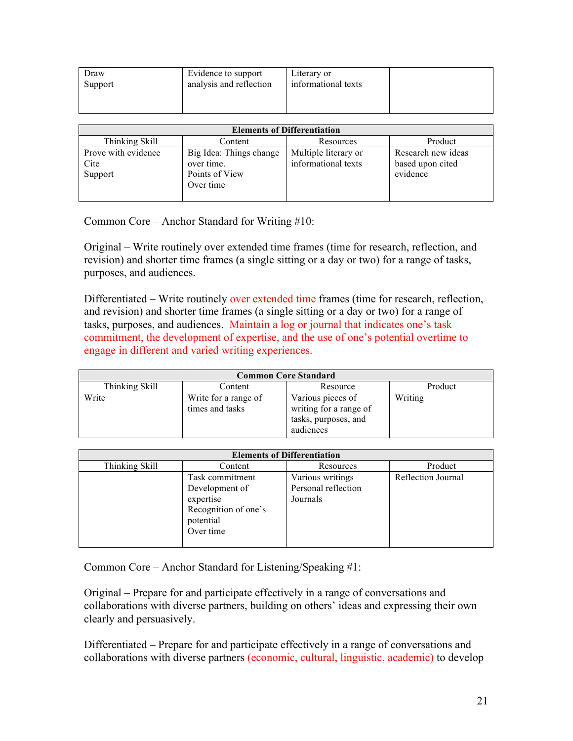| Draw    | Evidence to support     | Literary or         |  |
|---------|-------------------------|---------------------|--|
| Support | analysis and reflection | informational texts |  |
|         |                         |                     |  |

| <b>Elements of Differentiation</b>     |                                                         |                                             |                                                    |  |
|----------------------------------------|---------------------------------------------------------|---------------------------------------------|----------------------------------------------------|--|
| Thinking Skill                         | Content                                                 | Resources                                   | Product                                            |  |
| Prove with evidence<br>Cite<br>Support | Big Idea: Things change<br>over time.<br>Points of View | Multiple literary or<br>informational texts | Research new ideas<br>based upon cited<br>evidence |  |
|                                        | Over time                                               |                                             |                                                    |  |

Common Core – Anchor Standard for Writing #10:

Original – Write routinely over extended time frames (time for research, reflection, and revision) and shorter time frames (a single sitting or a day or two) for a range of tasks, purposes, and audiences.

Differentiated – Write routinely over extended time frames (time for research, reflection, and revision) and shorter time frames (a single sitting or a day or two) for a range of tasks, purposes, and audiences. Maintain a log or journal that indicates one's task commitment, the development of expertise, and the use of one's potential overtime to engage in different and varied writing experiences.

| <b>Common Core Standard</b> |                                         |                                                                                  |         |
|-----------------------------|-----------------------------------------|----------------------------------------------------------------------------------|---------|
| Thinking Skill              | Content                                 | Resource                                                                         | Product |
| Write                       | Write for a range of<br>times and tasks | Various pieces of<br>writing for a range of<br>tasks, purposes, and<br>audiences | Writing |

| <b>Elements of Differentiation</b> |                      |                     |                    |
|------------------------------------|----------------------|---------------------|--------------------|
| Thinking Skill                     | Content              | Resources           | Product            |
|                                    | Task commitment      | Various writings    | Reflection Journal |
|                                    | Development of       | Personal reflection |                    |
|                                    | expertise            | Journals            |                    |
|                                    | Recognition of one's |                     |                    |
|                                    | potential            |                     |                    |
|                                    | Over time            |                     |                    |
|                                    |                      |                     |                    |

Common Core – Anchor Standard for Listening/Speaking #1:

Original – Prepare for and participate effectively in a range of conversations and collaborations with diverse partners, building on others' ideas and expressing their own clearly and persuasively.

Differentiated – Prepare for and participate effectively in a range of conversations and collaborations with diverse partners (economic, cultural, linguistic, academic) to develop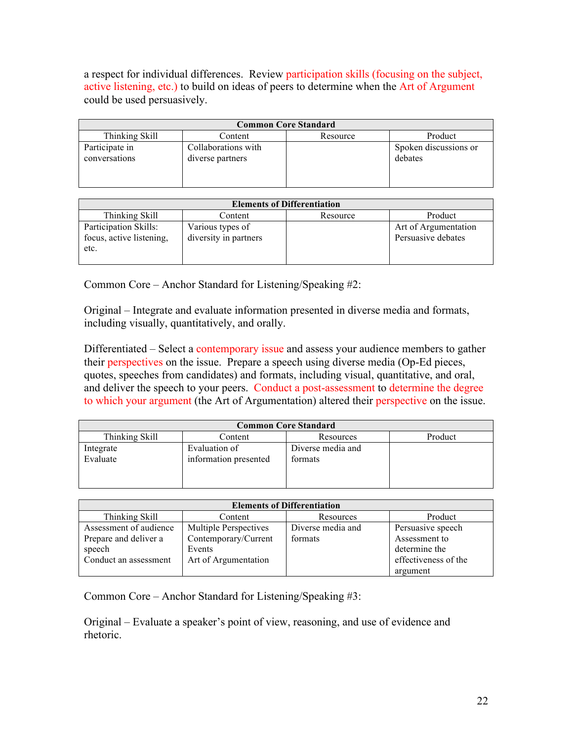a respect for individual differences. Review participation skills (focusing on the subject, active listening, etc.) to build on ideas of peers to determine when the Art of Argument could be used persuasively.

| <b>Common Core Standard</b>     |                                         |          |                                  |
|---------------------------------|-----------------------------------------|----------|----------------------------------|
| Thinking Skill                  | Content                                 | Resource | Product                          |
| Participate in<br>conversations | Collaborations with<br>diverse partners |          | Spoken discussions or<br>debates |

| <b>Elements of Differentiation</b>                        |                                           |          |                                            |
|-----------------------------------------------------------|-------------------------------------------|----------|--------------------------------------------|
| Thinking Skill                                            | Content                                   | Resource | Product                                    |
| Participation Skills:<br>focus, active listening,<br>etc. | Various types of<br>diversity in partners |          | Art of Argumentation<br>Persuasive debates |

Common Core – Anchor Standard for Listening/Speaking #2:

Original – Integrate and evaluate information presented in diverse media and formats, including visually, quantitatively, and orally.

Differentiated – Select a contemporary issue and assess your audience members to gather their perspectives on the issue. Prepare a speech using diverse media (Op-Ed pieces, quotes, speeches from candidates) and formats, including visual, quantitative, and oral, and deliver the speech to your peers. Conduct a post-assessment to determine the degree to which your argument (the Art of Argumentation) altered their perspective on the issue.

| <b>Common Core Standard</b> |                       |                   |         |
|-----------------------------|-----------------------|-------------------|---------|
| Thinking Skill              | Content               | Resources         | Product |
| Integrate                   | Evaluation of         | Diverse media and |         |
| Evaluate                    | information presented | formats           |         |
|                             |                       |                   |         |
|                             |                       |                   |         |

| <b>Elements of Differentiation</b> |                              |                   |                      |
|------------------------------------|------------------------------|-------------------|----------------------|
| Thinking Skill                     | Content                      | Resources         | Product              |
| Assessment of audience             | <b>Multiple Perspectives</b> | Diverse media and | Persuasive speech    |
| Prepare and deliver a              | Contemporary/Current         | formats           | Assessment to        |
| speech                             | Events                       |                   | determine the        |
| Conduct an assessment              | Art of Argumentation         |                   | effectiveness of the |
|                                    |                              |                   | argument             |

Common Core – Anchor Standard for Listening/Speaking #3:

Original – Evaluate a speaker's point of view, reasoning, and use of evidence and rhetoric.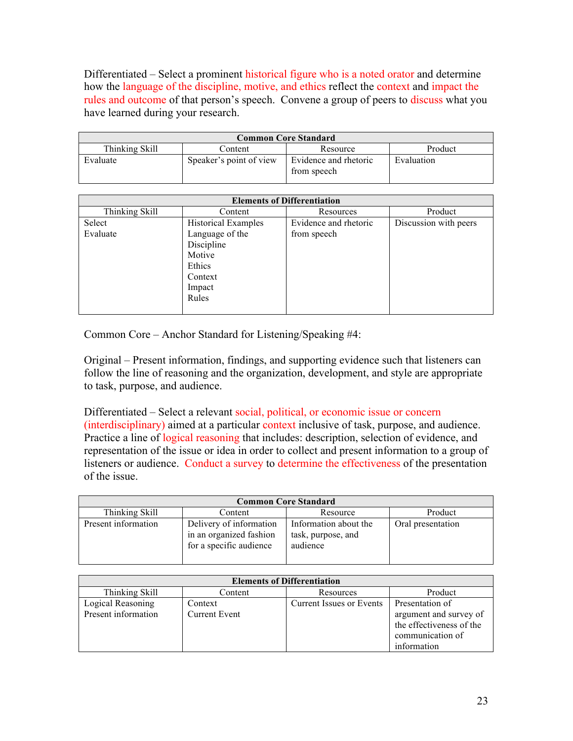Differentiated – Select a prominent historical figure who is a noted orator and determine how the language of the discipline, motive, and ethics reflect the context and impact the rules and outcome of that person's speech. Convene a group of peers to discuss what you have learned during your research.

| <b>Common Core Standard</b>                      |                         |                                      |            |  |
|--------------------------------------------------|-------------------------|--------------------------------------|------------|--|
| Thinking Skill<br>Product<br>Content<br>Resource |                         |                                      |            |  |
| Evaluate                                         | Speaker's point of view | Evidence and rhetoric<br>from speech | Evaluation |  |

| <b>Elements of Differentiation</b>                                                                            |                                      |                       |  |
|---------------------------------------------------------------------------------------------------------------|--------------------------------------|-----------------------|--|
| Content                                                                                                       | Resources                            | Product               |  |
| <b>Historical Examples</b><br>Language of the<br>Discipline<br>Motive<br>Ethics<br>Context<br>Impact<br>Rules | Evidence and rhetoric<br>from speech | Discussion with peers |  |
|                                                                                                               |                                      |                       |  |

Common Core – Anchor Standard for Listening/Speaking #4:

Original – Present information, findings, and supporting evidence such that listeners can follow the line of reasoning and the organization, development, and style are appropriate to task, purpose, and audience.

Differentiated – Select a relevant social, political, or economic issue or concern (interdisciplinary) aimed at a particular context inclusive of task, purpose, and audience. Practice a line of logical reasoning that includes: description, selection of evidence, and representation of the issue or idea in order to collect and present information to a group of listeners or audience. Conduct a survey to determine the effectiveness of the presentation of the issue.

| <b>Common Core Standard</b> |                                                                               |                                                         |                   |
|-----------------------------|-------------------------------------------------------------------------------|---------------------------------------------------------|-------------------|
| Thinking Skill              | Content                                                                       | Resource                                                | Product           |
| Present information         | Delivery of information<br>in an organized fashion<br>for a specific audience | Information about the<br>task, purpose, and<br>audience | Oral presentation |

| <b>Elements of Differentiation</b>       |                                 |                          |                                                                                           |
|------------------------------------------|---------------------------------|--------------------------|-------------------------------------------------------------------------------------------|
| Thinking Skill                           | Content                         | Resources                | Product                                                                                   |
| Logical Reasoning<br>Present information | Context<br><b>Current Event</b> | Current Issues or Events | Presentation of<br>argument and survey of<br>the effectiveness of the<br>communication of |
|                                          |                                 |                          | information                                                                               |